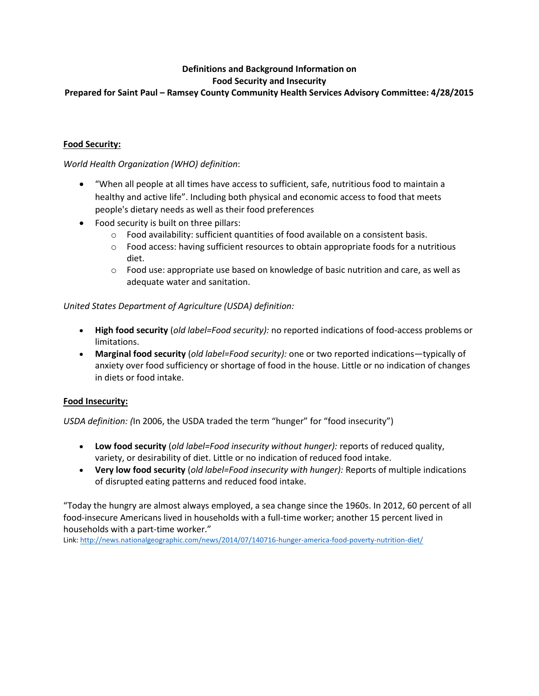### **Definitions and Background Information on Food Security and Insecurity**

# **Prepared for Saint Paul – Ramsey County Community Health Services Advisory Committee: 4/28/2015**

## **Food Security:**

*World Health Organization (WHO) definition*:

- "When all people at all times have access to sufficient, safe, nutritious food to maintain a healthy and active life". Including both physical and economic access to food that meets people's dietary needs as well as their food preferences
- Food security is built on three pillars:
	- o Food availability: sufficient quantities of food available on a consistent basis.
	- o Food access: having sufficient resources to obtain appropriate foods for a nutritious diet.
	- $\circ$  Food use: appropriate use based on knowledge of basic nutrition and care, as well as adequate water and sanitation.

*United States Department of Agriculture (USDA) definition:*

- **High food security** (*old label=Food security):* no reported indications of food-access problems or limitations.
- **Marginal food security** (*old label=Food security):* one or two reported indications—typically of anxiety over food sufficiency or shortage of food in the house. Little or no indication of changes in diets or food intake.

### **Food Insecurity:**

*USDA definition: (*In 2006, the USDA traded the term "hunger" for "food insecurity")

- **Low food security** (*old label=Food insecurity without hunger):* reports of reduced quality, variety, or desirability of diet. Little or no indication of reduced food intake.
- **Very low food security** (*old label=Food insecurity with hunger):* Reports of multiple indications of disrupted eating patterns and reduced food intake.

"Today the hungry are almost always employed, a sea change since the 1960s. In 2012, 60 percent of all food-insecure Americans lived in households with a full-time worker; another 15 percent lived in households with a part-time worker."

Link[: http://news.nationalgeographic.com/news/2014/07/140716-hunger-america-food-poverty-nutrition-diet/](http://news.nationalgeographic.com/news/2014/07/140716-hunger-america-food-poverty-nutrition-diet/)